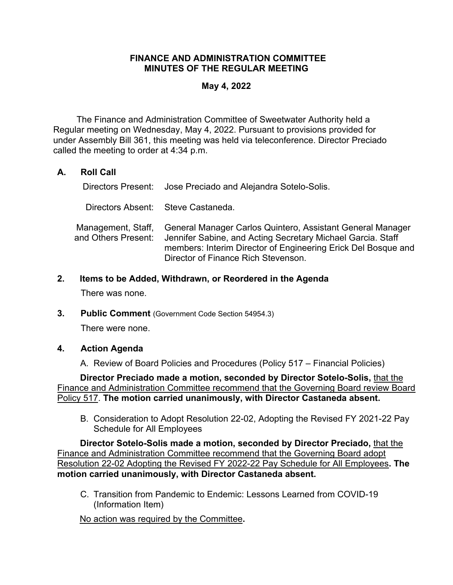### **FINANCE AND ADMINISTRATION COMMITTEE MINUTES OF THE REGULAR MEETING**

#### **May 4, 2022**

The Finance and Administration Committee of Sweetwater Authority held a Regular meeting on Wednesday, May 4, 2022. Pursuant to provisions provided for under Assembly Bill 361, this meeting was held via teleconference. Director Preciado called the meeting to order at 4:34 p.m.

### **A. Roll Call**

Directors Present: Jose Preciado and Alejandra Sotelo-Solis.

Directors Absent: Steve Castaneda.

Management, Staff, and Others Present: General Manager Carlos Quintero, Assistant General Manager Jennifer Sabine, and Acting Secretary Michael Garcia. Staff members: Interim Director of Engineering Erick Del Bosque and Director of Finance Rich Stevenson.

#### **2. Items to be Added, Withdrawn, or Reordered in the Agenda**

There was none.

**3. Public Comment** (Government Code Section 54954.3)

There were none.

### **4. Action Agenda**

A. Review of Board Policies and Procedures (Policy 517 – Financial Policies)

**Director Preciado made a motion, seconded by Director Sotelo-Solis,** that the Finance and Administration Committee recommend that the Governing Board review Board Policy 517. **The motion carried unanimously, with Director Castaneda absent.**

B. Consideration to Adopt Resolution 22-02, Adopting the Revised FY 2021-22 Pay Schedule for All Employees

**Director Sotelo-Solis made a motion, seconded by Director Preciado,** that the Finance and Administration Committee recommend that the Governing Board adopt Resolution 22-02 Adopting the Revised FY 2022-22 Pay Schedule for All Employees**. The motion carried unanimously, with Director Castaneda absent.**

C. Transition from Pandemic to Endemic: Lessons Learned from COVID-19 (Information Item)

No action was required by the Committee**.**